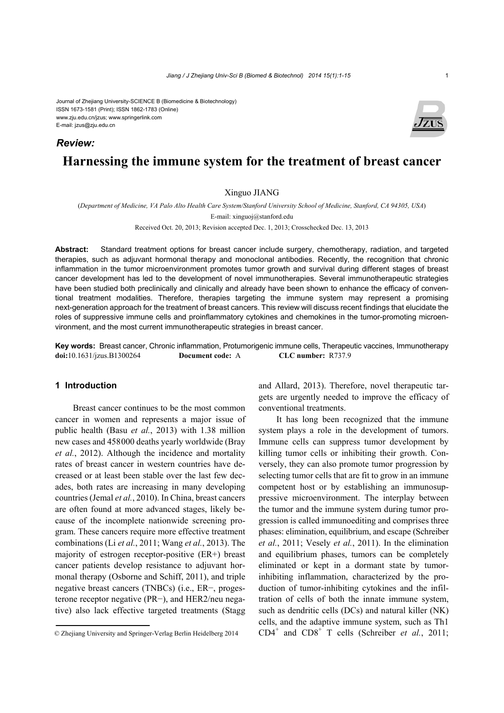#### Journal of Zhejiang University-SCIENCE B (Biomedicine & Biotechnology) ISSN 1673-1581 (Print); ISSN 1862-1783 (Online) www.zju.edu.cn/jzus; www.springerlink.com E-mail: jzus@zju.edu.cn

### *Review:*



# **Harnessing the immune system for the treatment of breast cancer**

### Xinguo JIANG

(*Department of Medicine, VA Palo Alto Health Care System/Stanford University School of Medicine, Stanford, CA 94305, USA*)

E-mail: xinguoj@stanford.edu

Received Oct. 20, 2013; Revision accepted Dec. 1, 2013; Crosschecked Dec. 13, 2013

**Abstract:** Standard treatment options for breast cancer include surgery, chemotherapy, radiation, and targeted therapies, such as adjuvant hormonal therapy and monoclonal antibodies. Recently, the recognition that chronic inflammation in the tumor microenvironment promotes tumor growth and survival during different stages of breast cancer development has led to the development of novel immunotherapies. Several immunotherapeutic strategies have been studied both preclinically and clinically and already have been shown to enhance the efficacy of conventional treatment modalities. Therefore, therapies targeting the immune system may represent a promising next-generation approach for the treatment of breast cancers. This review will discuss recent findings that elucidate the roles of suppressive immune cells and proinflammatory cytokines and chemokines in the tumor-promoting microenvironment, and the most current immunotherapeutic strategies in breast cancer.

**Key words:** Breast cancer, Chronic inflammation, Protumorigenic immune cells, Therapeutic vaccines, Immunotherapy **doi:**10.1631/jzus.B1300264 **Document code:** A **CLC number:** R737.9

# **1 Introduction**

Breast cancer continues to be the most common cancer in women and represents a major issue of public health (Basu *et al.*, 2013) with 1.38 million new cases and 458000 deaths yearly worldwide (Bray *et al.*, 2012). Although the incidence and mortality rates of breast cancer in western countries have decreased or at least been stable over the last few decades, both rates are increasing in many developing countries (Jemal *et al.*, 2010). In China, breast cancers are often found at more advanced stages, likely because of the incomplete nationwide screening program. These cancers require more effective treatment combinations (Li *et al.*, 2011; Wang *et al.*, 2013). The majority of estrogen receptor-positive (ER+) breast cancer patients develop resistance to adjuvant hormonal therapy (Osborne and Schiff, 2011), and triple negative breast cancers (TNBCs) (i.e., ER−, progesterone receptor negative (PR−), and HER2/neu negative) also lack effective targeted treatments (Stagg

and Allard, 2013). Therefore, novel therapeutic targets are urgently needed to improve the efficacy of conventional treatments.

It has long been recognized that the immune system plays a role in the development of tumors. Immune cells can suppress tumor development by killing tumor cells or inhibiting their growth. Conversely, they can also promote tumor progression by selecting tumor cells that are fit to grow in an immune competent host or by establishing an immunosuppressive microenvironment. The interplay between the tumor and the immune system during tumor progression is called immunoediting and comprises three phases: elimination, equilibrium, and escape (Schreiber *et al.*, 2011; Vesely *et al.*, 2011). In the elimination and equilibrium phases, tumors can be completely eliminated or kept in a dormant state by tumorinhibiting inflammation, characterized by the production of tumor-inhibiting cytokines and the infiltration of cells of both the innate immune system, such as dendritic cells (DCs) and natural killer (NK) cells, and the adaptive immune system, such as Th1  $CD4^+$  and  $CD8^+$  T cells (Schreiber *et al.*, 2011;

<sup>©</sup> Zhejiang University and Springer-Verlag Berlin Heidelberg 2014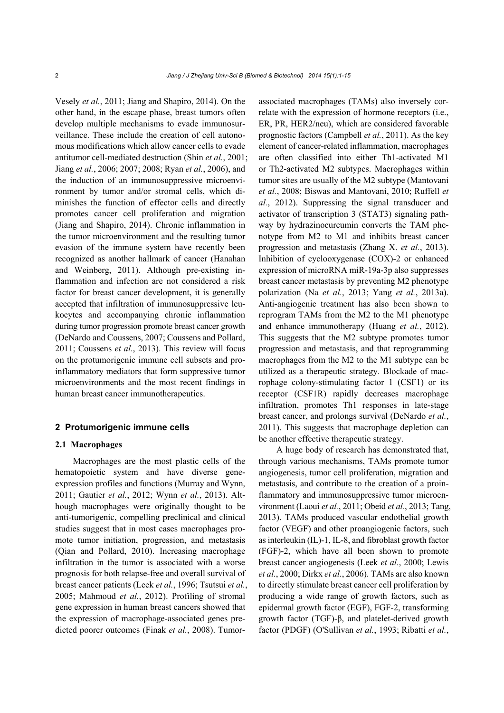Vesely *et al.*, 2011; Jiang and Shapiro, 2014). On the other hand, in the escape phase, breast tumors often develop multiple mechanisms to evade immunosurveillance. These include the creation of cell autonomous modifications which allow cancer cells to evade antitumor cell-mediated destruction (Shin *et al.*, 2001; Jiang *et al.*, 2006; 2007; 2008; Ryan *et al.*, 2006), and the induction of an immunosuppressive microenvironment by tumor and/or stromal cells, which diminishes the function of effector cells and directly promotes cancer cell proliferation and migration (Jiang and Shapiro, 2014). Chronic inflammation in the tumor microenvironment and the resulting tumor evasion of the immune system have recently been recognized as another hallmark of cancer (Hanahan and Weinberg, 2011). Although pre-existing inflammation and infection are not considered a risk factor for breast cancer development, it is generally accepted that infiltration of immunosuppressive leukocytes and accompanying chronic inflammation during tumor progression promote breast cancer growth (DeNardo and Coussens, 2007; Coussens and Pollard, 2011; Coussens *et al.*, 2013). This review will focus on the protumorigenic immune cell subsets and proinflammatory mediators that form suppressive tumor microenvironments and the most recent findings in human breast cancer immunotherapeutics.

#### **2 Protumorigenic immune cells**

#### **2.1 Macrophages**

Macrophages are the most plastic cells of the hematopoietic system and have diverse geneexpression profiles and functions (Murray and Wynn, 2011; Gautier *et al.*, 2012; Wynn *et al.*, 2013). Although macrophages were originally thought to be anti-tumorigenic, compelling preclinical and clinical studies suggest that in most cases macrophages promote tumor initiation, progression, and metastasis (Qian and Pollard, 2010). Increasing macrophage infiltration in the tumor is associated with a worse prognosis for both relapse-free and overall survival of breast cancer patients (Leek *et al.*, 1996; Tsutsui *et al.*, 2005; Mahmoud *et al.*, 2012). Profiling of stromal gene expression in human breast cancers showed that the expression of macrophage-associated genes predicted poorer outcomes (Finak *et al.*, 2008). Tumorassociated macrophages (TAMs) also inversely correlate with the expression of hormone receptors (i.e., ER, PR, HER2/neu), which are considered favorable prognostic factors (Campbell *et al.*, 2011). As the key element of cancer-related inflammation, macrophages are often classified into either Th1-activated M1 or Th2-activated M2 subtypes. Macrophages within tumor sites are usually of the M2 subtype (Mantovani *et al.*, 2008; Biswas and Mantovani, 2010; Ruffell *et al.*, 2012). Suppressing the signal transducer and activator of transcription 3 (STAT3) signaling pathway by hydrazinocurcumin converts the TAM phenotype from M2 to M1 and inhibits breast cancer progression and metastasis (Zhang X. *et al.*, 2013). Inhibition of cyclooxygenase (COX)-2 or enhanced expression of microRNA miR-19a-3p also suppresses breast cancer metastasis by preventing M2 phenotype polarization (Na *et al.*, 2013; Yang *et al.*, 2013a). Anti-angiogenic treatment has also been shown to reprogram TAMs from the M2 to the M1 phenotype and enhance immunotherapy (Huang *et al.*, 2012). This suggests that the M2 subtype promotes tumor progression and metastasis, and that reprogramming macrophages from the M2 to the M1 subtype can be utilized as a therapeutic strategy. Blockade of macrophage colony-stimulating factor 1 (CSF1) or its receptor (CSF1R) rapidly decreases macrophage infiltration, promotes Th1 responses in late-stage breast cancer, and prolongs survival (DeNardo *et al.*, 2011). This suggests that macrophage depletion can be another effective therapeutic strategy.

A huge body of research has demonstrated that, through various mechanisms, TAMs promote tumor angiogenesis, tumor cell proliferation, migration and metastasis, and contribute to the creation of a proinflammatory and immunosuppressive tumor microenvironment (Laoui *et al.*, 2011; Obeid *et al.*, 2013; Tang, 2013). TAMs produced vascular endothelial growth factor (VEGF) and other proangiogenic factors, such as interleukin (IL)-1, IL-8, and fibroblast growth factor (FGF)-2, which have all been shown to promote breast cancer angiogenesis (Leek *et al.*, 2000; Lewis *et al.*, 2000; Dirkx *et al.*, 2006). TAMs are also known to directly stimulate breast cancer cell proliferation by producing a wide range of growth factors, such as epidermal growth factor (EGF), FGF-2, transforming growth factor (TGF)-β, and platelet-derived growth factor (PDGF) (O'Sullivan *et al.*, 1993; Ribatti *et al.*,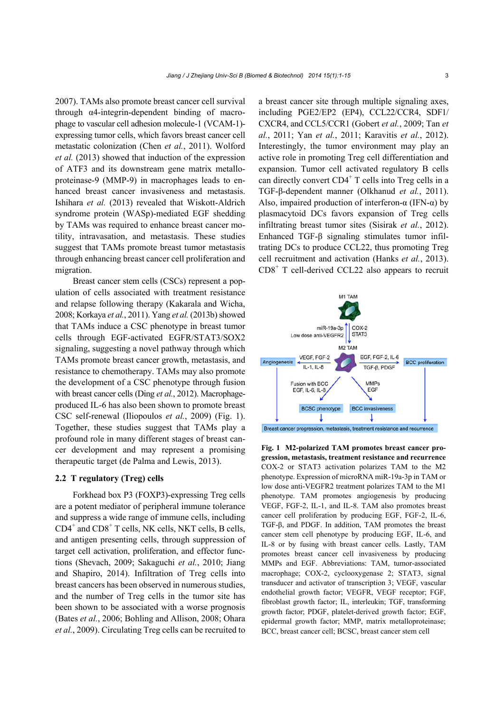2007). TAMs also promote breast cancer cell survival through α4-integrin-dependent binding of macrophage to vascular cell adhesion molecule-1 (VCAM-1) expressing tumor cells, which favors breast cancer cell metastatic colonization (Chen *et al.*, 2011). Wolford *et al.* (2013) showed that induction of the expression of ATF3 and its downstream gene matrix metalloproteinase-9 (MMP-9) in macrophages leads to enhanced breast cancer invasiveness and metastasis. Ishihara *et al.* (2013) revealed that Wiskott-Aldrich syndrome protein (WASp)-mediated EGF shedding by TAMs was required to enhance breast cancer motility, intravasation, and metastasis. These studies suggest that TAMs promote breast tumor metastasis through enhancing breast cancer cell proliferation and migration.

Breast cancer stem cells (CSCs) represent a population of cells associated with treatment resistance and relapse following therapy (Kakarala and Wicha, 2008; Korkaya *et al.*, 2011). Yang *et al.* (2013b) showed that TAMs induce a CSC phenotype in breast tumor cells through EGF-activated EGFR/STAT3/SOX2 signaling, suggesting a novel pathway through which TAMs promote breast cancer growth, metastasis, and resistance to chemotherapy. TAMs may also promote the development of a CSC phenotype through fusion with breast cancer cells (Ding *et al.*, 2012). Macrophageproduced IL-6 has also been shown to promote breast CSC self-renewal (Iliopoulos *et al.*, 2009) (Fig. 1). Together, these studies suggest that TAMs play a profound role in many different stages of breast cancer development and may represent a promising therapeutic target (de Palma and Lewis, 2013).

### **2.2 T regulatory (Treg) cells**

Forkhead box P3 (FOXP3)-expressing Treg cells are a potent mediator of peripheral immune tolerance and suppress a wide range of immune cells, including CD4<sup>+</sup> and CD8<sup>+</sup> T cells, NK cells, NKT cells, B cells, and antigen presenting cells, through suppression of target cell activation, proliferation, and effector functions (Shevach, 2009; Sakaguchi *et al.*, 2010; Jiang and Shapiro, 2014). Infiltration of Treg cells into breast cancers has been observed in numerous studies, and the number of Treg cells in the tumor site has been shown to be associated with a worse prognosis (Bates *et al.*, 2006; Bohling and Allison, 2008; Ohara *et al.*, 2009). Circulating Treg cells can be recruited to

a breast cancer site through multiple signaling axes, including PGE2/EP2 (EP4), CCL22/CCR4, SDF1/ CXCR4, and CCL5/CCR1 (Gobert *et al.*, 2009; Tan *et al.*, 2011; Yan *et al.*, 2011; Karavitis *et al.*, 2012). Interestingly, the tumor environment may play an active role in promoting Treg cell differentiation and expansion. Tumor cell activated regulatory B cells can directly convert  $CD4^+$  T cells into Treg cells in a TGF-β-dependent manner (Olkhanud *et al.*, 2011). Also, impaired production of interferon- $\alpha$  (IFN- $\alpha$ ) by plasmacytoid DCs favors expansion of Treg cells infiltrating breast tumor sites (Sisirak *et al.*, 2012). Enhanced TGF-β signaling stimulates tumor infiltrating DCs to produce CCL22, thus promoting Treg cell recruitment and activation (Hanks *et al.*, 2013). CD8<sup>+</sup> T cell-derived CCL22 also appears to recruit



**Fig. 1 M2-polarized TAM promotes breast cancer progression, metastasis, treatment resistance and recurrence** COX-2 or STAT3 activation polarizes TAM to the M2 phenotype. Expression of microRNA miR-19a-3p in TAM or low dose anti-VEGFR2 treatment polarizes TAM to the M1 phenotype. TAM promotes angiogenesis by producing VEGF, FGF-2, IL-1, and IL-8. TAM also promotes breast cancer cell proliferation by producing EGF, FGF-2, IL-6, TGF-β, and PDGF. In addition, TAM promotes the breast cancer stem cell phenotype by producing EGF, IL-6, and IL-8 or by fusing with breast cancer cells. Lastly, TAM promotes breast cancer cell invasiveness by producing MMPs and EGF. Abbreviations: TAM, tumor-associated macrophage; COX-2, cyclooxygenase 2; STAT3, signal transducer and activator of transcription 3; VEGF, vascular endothelial growth factor; VEGFR, VEGF receptor; FGF, fibroblast growth factor; IL, interleukin; TGF, transforming growth factor; PDGF, platelet-derived growth factor; EGF, epidermal growth factor; MMP, matrix metalloproteinase; BCC, breast cancer cell; BCSC, breast cancer stem cell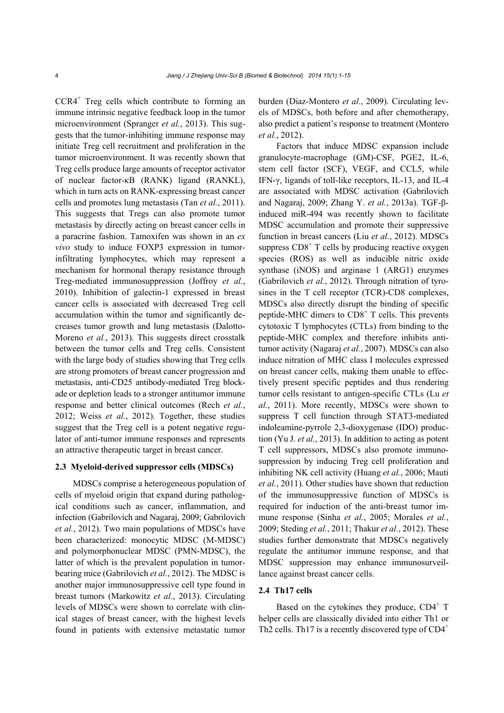CCR4+ Treg cells which contribute to forming an immune intrinsic negative feedback loop in the tumor microenvironment (Spranger *et al.*, 2013). This suggests that the tumor-inhibiting immune response may initiate Treg cell recruitment and proliferation in the tumor microenvironment. It was recently shown that Treg cells produce large amounts of receptor activator of nuclear factor-κB (RANK) ligand (RANKL), which in turn acts on RANK-expressing breast cancer cells and promotes lung metastasis (Tan *et al.*, 2011). This suggests that Tregs can also promote tumor metastasis by directly acting on breast cancer cells in a paracrine fashion. Tamoxifen was shown in an *ex vivo* study to induce FOXP3 expression in tumorinfiltrating lymphocytes, which may represent a mechanism for hormonal therapy resistance through Treg-mediated immunosuppression (Joffroy *et al.*, 2010). Inhibition of galectin-1 expressed in breast cancer cells is associated with decreased Treg cell accumulation within the tumor and significantly decreases tumor growth and lung metastasis (Dalotto-Moreno *et al.*, 2013). This suggests direct crosstalk between the tumor cells and Treg cells. Consistent with the large body of studies showing that Treg cells are strong promoters of breast cancer progression and metastasis, anti-CD25 antibody-mediated Treg blockade or depletion leads to a stronger antitumor immune response and better clinical outcomes (Rech *et al.*, 2012; Weiss *et al.*, 2012). Together, these studies suggest that the Treg cell is a potent negative regulator of anti-tumor immune responses and represents an attractive therapeutic target in breast cancer.

#### **2.3 Myeloid-derived suppressor cells (MDSCs)**

MDSCs comprise a heterogeneous population of cells of myeloid origin that expand during pathological conditions such as cancer, inflammation, and infection (Gabrilovich and Nagaraj, 2009; Gabrilovich *et al.*, 2012). Two main populations of MDSCs have been characterized: monocytic MDSC (M-MDSC) and polymorphonuclear MDSC (PMN-MDSC), the latter of which is the prevalent population in tumorbearing mice (Gabrilovich *et al.*, 2012). The MDSC is another major immunosuppressive cell type found in breast tumors (Markowitz *et al.*, 2013). Circulating levels of MDSCs were shown to correlate with clinical stages of breast cancer, with the highest levels found in patients with extensive metastatic tumor

burden (Diaz-Montero *et al.*, 2009). Circulating levels of MDSCs, both before and after chemotherapy, also predict a patient's response to treatment (Montero *et al.*, 2012).

Factors that induce MDSC expansion include granulocyte-macrophage (GM)-CSF, PGE2, IL-6, stem cell factor (SCF), VEGF, and CCL5, while IFN-γ, ligands of toll-like receptors, IL-13, and IL-4 are associated with MDSC activation (Gabrilovich and Nagaraj, 2009; Zhang Y. *et al.*, 2013a). TGF-βinduced miR-494 was recently shown to facilitate MDSC accumulation and promote their suppressive function in breast cancers (Liu *et al.*, 2012). MDSCs suppress  $CDS<sup>+</sup>$  T cells by producing reactive oxygen species (ROS) as well as inducible nitric oxide synthase (iNOS) and arginase 1 (ARG1) enzymes (Gabrilovich *et al.*, 2012). Through nitration of tyrosines in the T cell receptor (TCR)-CD8 complexes, MDSCs also directly disrupt the binding of specific peptide-MHC dimers to  $CDS<sup>+</sup> T$  cells. This prevents cytotoxic T lymphocytes (CTLs) from binding to the peptide-MHC complex and therefore inhibits antitumor activity (Nagaraj *et al.*, 2007). MDSCs can also induce nitration of MHC class I molecules expressed on breast cancer cells, making them unable to effectively present specific peptides and thus rendering tumor cells resistant to antigen-specific CTLs (Lu *et al.*, 2011). More recently, MDSCs were shown to suppress T cell function through STAT3-mediated indoleamine-pyrrole 2,3-dioxygenase (IDO) production (Yu J. *et al.*, 2013). In addition to acting as potent T cell suppressors, MDSCs also promote immunosuppression by inducing Treg cell proliferation and inhibiting NK cell activity (Huang *et al.*, 2006; Mauti *et al.*, 2011). Other studies have shown that reduction of the immunosuppressive function of MDSCs is required for induction of the anti-breast tumor immune response (Sinha *et al.*, 2005; Morales *et al.*, 2009; Steding *et al.*, 2011; Thakur *et al.*, 2012). These studies further demonstrate that MDSCs negatively regulate the antitumor immune response, and that MDSC suppression may enhance immunosurveillance against breast cancer cells.

# **2.4 Th17 cells**

Based on the cytokines they produce,  $CD4^+$  T helper cells are classically divided into either Th1 or Th2 cells. Th17 is a recently discovered type of  $CD4^+$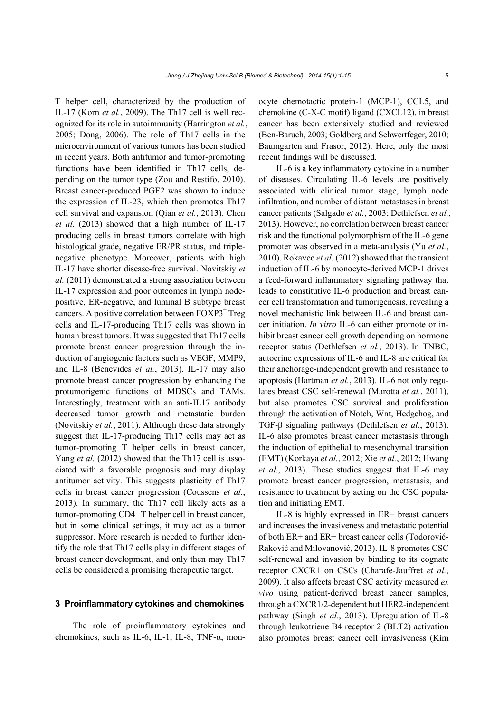T helper cell, characterized by the production of IL-17 (Korn *et al.*, 2009). The Th17 cell is well recognized for its role in autoimmunity (Harrington *et al.*, 2005; Dong, 2006). The role of Th17 cells in the microenvironment of various tumors has been studied in recent years. Both antitumor and tumor-promoting functions have been identified in Th17 cells, depending on the tumor type (Zou and Restifo, 2010). Breast cancer-produced PGE2 was shown to induce the expression of IL-23, which then promotes Th17 cell survival and expansion (Qian *et al.*, 2013). Chen *et al.* (2013) showed that a high number of IL-17 producing cells in breast tumors correlate with high histological grade, negative ER/PR status, and triplenegative phenotype. Moreover, patients with high IL-17 have shorter disease-free survival. Novitskiy *et al.* (2011) demonstrated a strong association between IL-17 expression and poor outcomes in lymph nodepositive, ER-negative, and luminal B subtype breast cancers. A positive correlation between FOXP3<sup>+</sup> Treg cells and IL-17-producing Th17 cells was shown in human breast tumors. It was suggested that Th17 cells promote breast cancer progression through the induction of angiogenic factors such as VEGF, MMP9, and IL-8 (Benevides *et al.*, 2013). IL-17 may also promote breast cancer progression by enhancing the protumorigenic functions of MDSCs and TAMs. Interestingly, treatment with an anti-IL17 antibody decreased tumor growth and metastatic burden (Novitskiy *et al.*, 2011). Although these data strongly suggest that IL-17-producing Th17 cells may act as tumor-promoting T helper cells in breast cancer, Yang *et al.* (2012) showed that the Th17 cell is associated with a favorable prognosis and may display antitumor activity. This suggests plasticity of Th17 cells in breast cancer progression (Coussens *et al.*, 2013). In summary, the Th17 cell likely acts as a  $t$ umor-promoting  $CD4^+$  T helper cell in breast cancer, but in some clinical settings, it may act as a tumor suppressor. More research is needed to further identify the role that Th17 cells play in different stages of breast cancer development, and only then may Th17 cells be considered a promising therapeutic target.

#### **3 Proinflammatory cytokines and chemokines**

The role of proinflammatory cytokines and chemokines, such as IL-6, IL-1, IL-8, TNF- $\alpha$ , monocyte chemotactic protein-1 (MCP-1), CCL5, and chemokine (C-X-C motif) ligand (CXCL12), in breast cancer has been extensively studied and reviewed (Ben-Baruch, 2003; Goldberg and Schwertfeger, 2010; Baumgarten and Frasor, 2012). Here, only the most recent findings will be discussed.

IL-6 is a key inflammatory cytokine in a number of diseases. Circulating IL-6 levels are positively associated with clinical tumor stage, lymph node infiltration, and number of distant metastases in breast cancer patients (Salgado *et al.*, 2003; Dethlefsen *et al.*, 2013). However, no correlation between breast cancer risk and the functional polymorphism of the IL-6 gene promoter was observed in a meta-analysis (Yu *et al.*, 2010). Rokavec *et al.* (2012) showed that the transient induction of IL-6 by monocyte-derived MCP-1 drives a feed-forward inflammatory signaling pathway that leads to constitutive IL-6 production and breast cancer cell transformation and tumorigenesis, revealing a novel mechanistic link between IL-6 and breast cancer initiation. *In vitro* IL-6 can either promote or inhibit breast cancer cell growth depending on hormone receptor status (Dethlefsen *et al.*, 2013). In TNBC, autocrine expressions of IL-6 and IL-8 are critical for their anchorage-independent growth and resistance to apoptosis (Hartman *et al.*, 2013). IL-6 not only regulates breast CSC self-renewal (Marotta *et al.*, 2011), but also promotes CSC survival and proliferation through the activation of Notch, Wnt, Hedgehog, and TGF-β signaling pathways (Dethlefsen *et al.*, 2013). IL-6 also promotes breast cancer metastasis through the induction of epithelial to mesenchymal transition (EMT) (Korkaya *et al.*, 2012; Xie *et al.*, 2012; Hwang *et al.*, 2013). These studies suggest that IL-6 may promote breast cancer progression, metastasis, and resistance to treatment by acting on the CSC population and initiating EMT.

IL-8 is highly expressed in ER− breast cancers and increases the invasiveness and metastatic potential of both ER+ and ER− breast cancer cells (Todorović-Raković and Milovanović, 2013). IL-8 promotes CSC self-renewal and invasion by binding to its cognate receptor CXCR1 on CSCs (Charafe-Jauffret *et al.*, 2009). It also affects breast CSC activity measured *ex vivo* using patient-derived breast cancer samples, through a CXCR1/2-dependent but HER2-independent pathway (Singh *et al.*, 2013). Upregulation of IL-8 through leukotriene B4 receptor 2 (BLT2) activation also promotes breast cancer cell invasiveness (Kim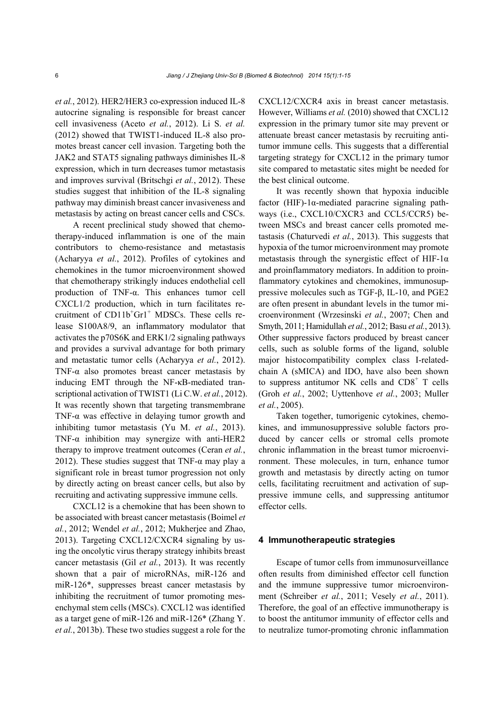*et al.*, 2012). HER2/HER3 co-expression induced IL-8 autocrine signaling is responsible for breast cancer cell invasiveness (Aceto *et al.*, 2012). Li S. *et al.* (2012) showed that TWIST1-induced IL-8 also promotes breast cancer cell invasion. Targeting both the JAK2 and STAT5 signaling pathways diminishes IL-8 expression, which in turn decreases tumor metastasis and improves survival (Britschgi *et al.*, 2012). These studies suggest that inhibition of the IL-8 signaling pathway may diminish breast cancer invasiveness and metastasis by acting on breast cancer cells and CSCs.

A recent preclinical study showed that chemotherapy-induced inflammation is one of the main contributors to chemo-resistance and metastasis (Acharyya *et al.*, 2012). Profiles of cytokines and chemokines in the tumor microenvironment showed that chemotherapy strikingly induces endothelial cell production of TNF-α. This enhances tumor cell CXCL1/2 production, which in turn facilitates recruitment of  $CD11b<sup>+</sup>Gr1<sup>+</sup>$  MDSCs. These cells release S100A8/9, an inflammatory modulator that activates the p70S6K and ERK1/2 signaling pathways and provides a survival advantage for both primary and metastatic tumor cells (Acharyya *et al.*, 2012). TNF- $\alpha$  also promotes breast cancer metastasis by inducing EMT through the NF-κB-mediated transcriptional activation of TWIST1 (Li C.W. *et al.*, 2012). It was recently shown that targeting transmembrane TNF-α was effective in delaying tumor growth and inhibiting tumor metastasis (Yu M. *et al.*, 2013). TNF- $\alpha$  inhibition may synergize with anti-HER2 therapy to improve treatment outcomes (Ceran *et al.*, 2012). These studies suggest that TNF- $\alpha$  may play a significant role in breast tumor progression not only by directly acting on breast cancer cells, but also by recruiting and activating suppressive immune cells.

CXCL12 is a chemokine that has been shown to be associated with breast cancer metastasis (Boimel *et al.*, 2012; Wendel *et al.*, 2012; Mukherjee and Zhao, 2013). Targeting CXCL12/CXCR4 signaling by using the oncolytic virus therapy strategy inhibits breast cancer metastasis (Gil *et al.*, 2013). It was recently shown that a pair of microRNAs, miR-126 and miR-126\*, suppresses breast cancer metastasis by inhibiting the recruitment of tumor promoting mesenchymal stem cells (MSCs). CXCL12 was identified as a target gene of miR-126 and miR-126\* (Zhang Y. *et al.*, 2013b). These two studies suggest a role for the CXCL12/CXCR4 axis in breast cancer metastasis. However, Williams *et al.* (2010) showed that CXCL12 expression in the primary tumor site may prevent or attenuate breast cancer metastasis by recruiting antitumor immune cells. This suggests that a differential targeting strategy for CXCL12 in the primary tumor site compared to metastatic sites might be needed for the best clinical outcome.

It was recently shown that hypoxia inducible factor (HIF)-1α-mediated paracrine signaling pathways (i.e., CXCL10/CXCR3 and CCL5/CCR5) between MSCs and breast cancer cells promoted metastasis (Chaturvedi *et al.*, 2013). This suggests that hypoxia of the tumor microenvironment may promote metastasis through the synergistic effect of HIF-1 $\alpha$ and proinflammatory mediators. In addition to proinflammatory cytokines and chemokines, immunosuppressive molecules such as TGF-β, IL-10, and PGE2 are often present in abundant levels in the tumor microenvironment (Wrzesinski *et al.*, 2007; Chen and Smyth, 2011; Hamidullah *et al.*, 2012; Basu *et al.*, 2013). Other suppressive factors produced by breast cancer cells, such as soluble forms of the ligand, soluble major histocompatibility complex class I-relatedchain A (sMICA) and IDO, have also been shown to suppress antitumor NK cells and  $CDS<sup>+</sup> T$  cells (Groh *et al.*, 2002; Uyttenhove *et al.*, 2003; Muller *et al.*, 2005).

Taken together, tumorigenic cytokines, chemokines, and immunosuppressive soluble factors produced by cancer cells or stromal cells promote chronic inflammation in the breast tumor microenvironment. These molecules, in turn, enhance tumor growth and metastasis by directly acting on tumor cells, facilitating recruitment and activation of suppressive immune cells, and suppressing antitumor effector cells.

#### **4 Immunotherapeutic strategies**

Escape of tumor cells from immunosurveillance often results from diminished effector cell function and the immune suppressive tumor microenvironment (Schreiber *et al.*, 2011; Vesely *et al.*, 2011). Therefore, the goal of an effective immunotherapy is to boost the antitumor immunity of effector cells and to neutralize tumor-promoting chronic inflammation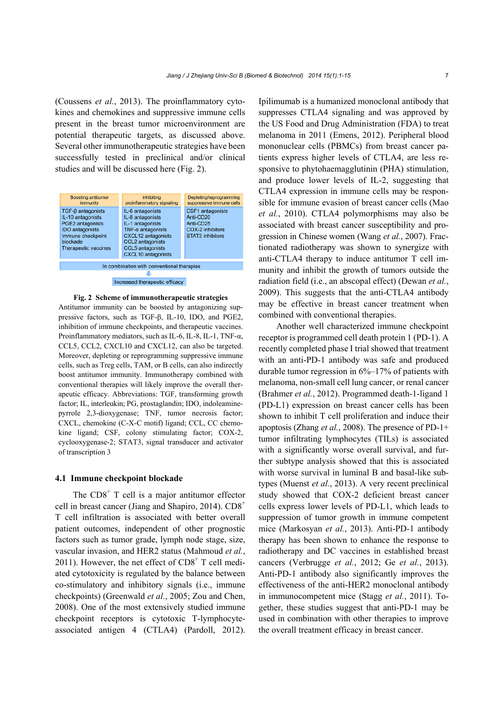(Coussens *et al.*, 2013). The proinflammatory cytokines and chemokines and suppressive immune cells present in the breast tumor microenvironment are potential therapeutic targets, as discussed above. Several other immunotherapeutic strategies have been successfully tested in preclinical and/or clinical studies and will be discussed here (Fig. 2).



#### **Fig. 2 Scheme of immunotherapeutic strategies**

Antitumor immunity can be boosted by antagonizing suppressive factors, such as TGF-β, IL-10, IDO, and PGE2, inhibition of immune checkpoints, and therapeutic vaccines. Proinflammatory mediators, such as IL-6, IL-8, IL-1, TNF- $\alpha$ , CCL5, CCL2, CXCL10 and CXCL12, can also be targeted. Moreover, depleting or reprogramming suppressive immune cells, such as Treg cells, TAM, or B cells, can also indirectly boost antitumor immunity. Immunotherapy combined with conventional therapies will likely improve the overall therapeutic efficacy. Abbreviations: TGF, transforming growth factor; IL, interleukin; PG, prostaglandin; IDO, indoleaminepyrrole 2,3-dioxygenase; TNF, tumor necrosis factor; CXCL, chemokine (C-X-C motif) ligand; CCL, CC chemokine ligand; CSF, colony stimulating factor; COX-2, cyclooxygenase-2; STAT3, signal transducer and activator of transcription 3

### **4.1 Immune checkpoint blockade**

The  $CDS<sup>+</sup>$  T cell is a major antitumor effector cell in breast cancer (Jiang and Shapiro, 2014).  $CD8^+$ T cell infiltration is associated with better overall patient outcomes, independent of other prognostic factors such as tumor grade, lymph node stage, size, vascular invasion, and HER2 status (Mahmoud *et al.*, 2011). However, the net effect of  $CD8<sup>+</sup>$  T cell mediated cytotoxicity is regulated by the balance between co-stimulatory and inhibitory signals (i.e., immune checkpoints) (Greenwald *et al.*, 2005; Zou and Chen, 2008). One of the most extensively studied immune checkpoint receptors is cytotoxic T-lymphocyteassociated antigen 4 (CTLA4) (Pardoll, 2012).

Ipilimumab is a humanized monoclonal antibody that suppresses CTLA4 signaling and was approved by the US Food and Drug Administration (FDA) to treat melanoma in 2011 (Emens, 2012). Peripheral blood mononuclear cells (PBMCs) from breast cancer patients express higher levels of CTLA4, are less responsive to phytohaemagglutinin (PHA) stimulation, and produce lower levels of IL-2, suggesting that CTLA4 expression in immune cells may be responsible for immune evasion of breast cancer cells (Mao *et al.*, 2010). CTLA4 polymorphisms may also be associated with breast cancer susceptibility and progression in Chinese women (Wang *et al.*, 2007). Fractionated radiotherapy was shown to synergize with anti-CTLA4 therapy to induce antitumor T cell immunity and inhibit the growth of tumors outside the radiation field (i.e., an abscopal effect) (Dewan *et al.*, 2009). This suggests that the anti-CTLA4 antibody may be effective in breast cancer treatment when combined with conventional therapies.

Another well characterized immune checkpoint receptor is programmed cell death protein 1 (PD-1). A recently completed phase I trial showed that treatment with an anti-PD-1 antibody was safe and produced durable tumor regression in  $6\%$ -17% of patients with melanoma, non-small cell lung cancer, or renal cancer (Brahmer *et al.*, 2012). Programmed death-1-ligand 1 (PD-L1) expression on breast cancer cells has been shown to inhibit T cell proliferation and induce their apoptosis (Zhang *et al.*, 2008). The presence of PD-1+ tumor infiltrating lymphocytes (TILs) is associated with a significantly worse overall survival, and further subtype analysis showed that this is associated with worse survival in luminal B and basal-like subtypes (Muenst *et al.*, 2013). A very recent preclinical study showed that COX-2 deficient breast cancer cells express lower levels of PD-L1, which leads to suppression of tumor growth in immune competent mice (Markosyan *et al.*, 2013). Anti-PD-1 antibody therapy has been shown to enhance the response to radiotherapy and DC vaccines in established breast cancers (Verbrugge *et al.*, 2012; Ge *et al.*, 2013). Anti-PD-1 antibody also significantly improves the effectiveness of the anti-HER2 monoclonal antibody in immunocompetent mice (Stagg *et al.*, 2011). Together, these studies suggest that anti-PD-1 may be used in combination with other therapies to improve the overall treatment efficacy in breast cancer.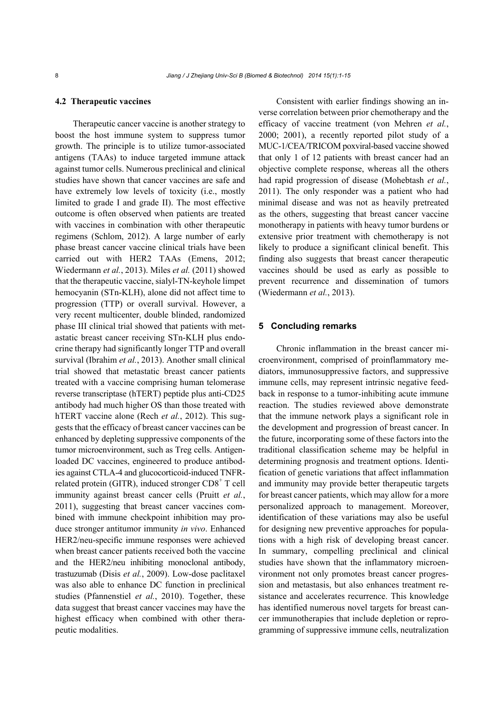#### **4.2 Therapeutic vaccines**

Therapeutic cancer vaccine is another strategy to boost the host immune system to suppress tumor growth. The principle is to utilize tumor-associated antigens (TAAs) to induce targeted immune attack against tumor cells. Numerous preclinical and clinical studies have shown that cancer vaccines are safe and have extremely low levels of toxicity (i.e., mostly limited to grade I and grade II). The most effective outcome is often observed when patients are treated with vaccines in combination with other therapeutic regimens (Schlom, 2012). A large number of early phase breast cancer vaccine clinical trials have been carried out with HER2 TAAs (Emens, 2012; Wiedermann *et al.*, 2013). Miles *et al.* (2011) showed that the therapeutic vaccine, sialyl-TN-keyhole limpet hemocyanin (STn-KLH), alone did not affect time to progression (TTP) or overall survival. However, a very recent multicenter, double blinded, randomized phase III clinical trial showed that patients with metastatic breast cancer receiving STn-KLH plus endocrine therapy had significantly longer TTP and overall survival (Ibrahim *et al.*, 2013). Another small clinical trial showed that metastatic breast cancer patients treated with a vaccine comprising human telomerase reverse transcriptase (hTERT) peptide plus anti-CD25 antibody had much higher OS than those treated with hTERT vaccine alone (Rech *et al.*, 2012). This suggests that the efficacy of breast cancer vaccines can be enhanced by depleting suppressive components of the tumor microenvironment, such as Treg cells. Antigenloaded DC vaccines, engineered to produce antibodies against CTLA-4 and glucocorticoid-induced TNFRrelated protein (GITR), induced stronger CD8<sup>+</sup> T cell immunity against breast cancer cells (Pruitt *et al.*, 2011), suggesting that breast cancer vaccines combined with immune checkpoint inhibition may produce stronger antitumor immunity *in vivo*. Enhanced HER2/neu-specific immune responses were achieved when breast cancer patients received both the vaccine and the HER2/neu inhibiting monoclonal antibody, trastuzumab (Disis *et al.*, 2009). Low-dose paclitaxel was also able to enhance DC function in preclinical studies (Pfannenstiel *et al.*, 2010). Together, these data suggest that breast cancer vaccines may have the highest efficacy when combined with other therapeutic modalities.

Consistent with earlier findings showing an inverse correlation between prior chemotherapy and the efficacy of vaccine treatment (von Mehren *et al.*, 2000; 2001), a recently reported pilot study of a MUC-1/CEA/TRICOM poxviral-based vaccine showed that only 1 of 12 patients with breast cancer had an objective complete response, whereas all the others had rapid progression of disease (Mohebtash *et al.*, 2011). The only responder was a patient who had minimal disease and was not as heavily pretreated as the others, suggesting that breast cancer vaccine monotherapy in patients with heavy tumor burdens or extensive prior treatment with chemotherapy is not likely to produce a significant clinical benefit. This finding also suggests that breast cancer therapeutic vaccines should be used as early as possible to prevent recurrence and dissemination of tumors (Wiedermann *et al.*, 2013).

#### **5 Concluding remarks**

Chronic inflammation in the breast cancer microenvironment, comprised of proinflammatory mediators, immunosuppressive factors, and suppressive immune cells, may represent intrinsic negative feedback in response to a tumor-inhibiting acute immune reaction. The studies reviewed above demonstrate that the immune network plays a significant role in the development and progression of breast cancer. In the future, incorporating some of these factors into the traditional classification scheme may be helpful in determining prognosis and treatment options. Identification of genetic variations that affect inflammation and immunity may provide better therapeutic targets for breast cancer patients, which may allow for a more personalized approach to management. Moreover, identification of these variations may also be useful for designing new preventive approaches for populations with a high risk of developing breast cancer. In summary, compelling preclinical and clinical studies have shown that the inflammatory microenvironment not only promotes breast cancer progression and metastasis, but also enhances treatment resistance and accelerates recurrence. This knowledge has identified numerous novel targets for breast cancer immunotherapies that include depletion or reprogramming of suppressive immune cells, neutralization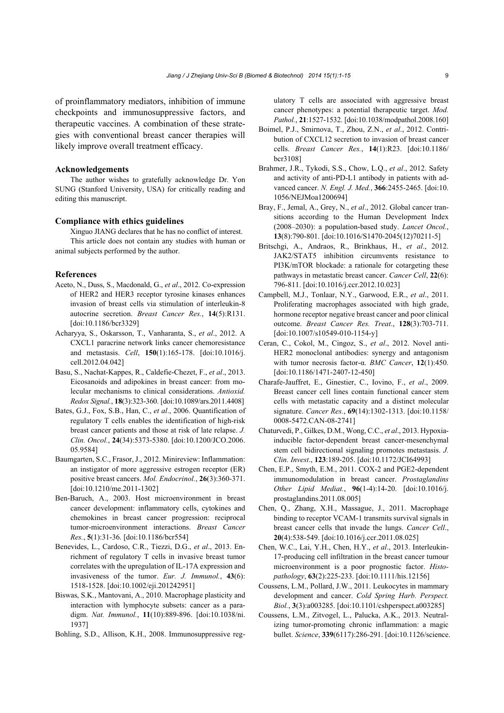of proinflammatory mediators, inhibition of immune checkpoints and immunosuppressive factors, and therapeutic vaccines. A combination of these strategies with conventional breast cancer therapies will likely improve overall treatment efficacy.

#### **Acknowledgements**

The author wishes to gratefully acknowledge Dr. Yon SUNG (Stanford University, USA) for critically reading and editing this manuscript.

#### **Compliance with ethics guidelines**

Xinguo JIANG declares that he has no conflict of interest. This article does not contain any studies with human or animal subjects performed by the author.

#### **References**

- Aceto, N., Duss, S., Macdonald, G., *et al*., 2012. Co-expression of HER2 and HER3 receptor tyrosine kinases enhances invasion of breast cells via stimulation of interleukin-8 autocrine secretion. *Breast Cancer Res.*, **14**(5):R131. [doi:10.1186/bcr3329]
- Acharyya, S., Oskarsson, T., Vanharanta, S., *et al*., 2012. A CXCL1 paracrine network links cancer chemoresistance and metastasis. *Cell*, **150**(1):165-178. [doi:10.1016/j. cell.2012.04.042]
- Basu, S., Nachat-Kappes, R., Caldefie-Chezet, F., *et al*., 2013. Eicosanoids and adipokines in breast cancer: from molecular mechanisms to clinical considerations. *Antioxid. Redox Signal.*, **18**(3):323-360. [doi:10.1089/ars.2011.4408]
- Bates, G.J., Fox, S.B., Han, C., *et al*., 2006. Quantification of regulatory T cells enables the identification of high-risk breast cancer patients and those at risk of late relapse. *J. Clin. Oncol.*, **24**(34):5373-5380. [doi:10.1200/JCO.2006. 05.9584]
- Baumgarten, S.C., Frasor, J., 2012. Minireview: Inflammation: an instigator of more aggressive estrogen receptor (ER) positive breast cancers. *Mol. Endocrinol.*, **26**(3):360-371. [doi:10.1210/me.2011-1302]
- Ben-Baruch, A., 2003. Host microenvironment in breast cancer development: inflammatory cells, cytokines and chemokines in breast cancer progression: reciprocal tumor-microenvironment interactions. *Breast Cancer Res.*, **5**(1):31-36. [doi:10.1186/bcr554]
- Benevides, L., Cardoso, C.R., Tiezzi, D.G., *et al*., 2013. Enrichment of regulatory T cells in invasive breast tumor correlates with the upregulation of IL-17A expression and invasiveness of the tumor. *Eur. J. Immunol.*, **43**(6): 1518-1528. [doi:10.1002/eji.201242951]
- Biswas, S.K., Mantovani, A., 2010. Macrophage plasticity and interaction with lymphocyte subsets: cancer as a paradigm. *Nat. Immunol.*, **11**(10):889-896. [doi:10.1038/ni. 1937]
- Bohling, S.D., Allison, K.H., 2008. Immunosuppressive reg-

ulatory T cells are associated with aggressive breast cancer phenotypes: a potential therapeutic target. *Mod. Pathol.*, **21**:1527-1532. [doi:10.1038/modpathol.2008.160]

- Boimel, P.J., Smirnova, T., Zhou, Z.N., *et al*., 2012. Contribution of CXCL12 secretion to invasion of breast cancer cells. *Breast Cancer Res.*, **14**(1):R23. [doi:10.1186/ bcr3108]
- Brahmer, J.R., Tykodi, S.S., Chow, L.Q., *et al*., 2012. Safety and activity of anti-PD-L1 antibody in patients with advanced cancer. *N. Engl. J. Med.*, **366**:2455-2465. [doi:10. 1056/NEJMoa1200694]
- Bray, F., Jemal, A., Grey, N., *et al*., 2012. Global cancer transitions according to the Human Development Index (2008‒2030): a population-based study. *Lancet Oncol.*, **13**(8):790-801. [doi:10.1016/S1470-2045(12)70211-5]
- Britschgi, A., Andraos, R., Brinkhaus, H., *et al*., 2012. JAK2/STAT5 inhibition circumvents resistance to PI3K/mTOR blockade: a rationale for cotargeting these pathways in metastatic breast cancer. *Cancer Cell*, **22**(6): 796-811. [doi:10.1016/j.ccr.2012.10.023]
- Campbell, M.J., Tonlaar, N.Y., Garwood, E.R., *et al*., 2011. Proliferating macrophages associated with high grade, hormone receptor negative breast cancer and poor clinical outcome. *Breast Cancer Res. Treat*., **128**(3):703-711. [doi:10.1007/s10549-010-1154-y]
- Ceran, C., Cokol, M., Cingoz, S., *et al*., 2012. Novel anti-HER2 monoclonal antibodies: synergy and antagonism with tumor necrosis factor-α. *BMC Cancer*, **12**(1):450. [doi:10.1186/1471-2407-12-450]
- Charafe-Jauffret, E., Ginestier, C., Iovino, F., *et al*., 2009. Breast cancer cell lines contain functional cancer stem cells with metastatic capacity and a distinct molecular signature. *Cancer Res.*, **69**(14):1302-1313. [doi:10.1158/ 0008-5472.CAN-08-2741]
- Chaturvedi, P., Gilkes, D.M., Wong, C.C., *et al*., 2013. Hypoxiainducible factor-dependent breast cancer-mesenchymal stem cell bidirectional signaling promotes metastasis. *J. Clin. Invest*., **123**:189-205. [doi:10.1172/JCI64993]
- Chen, E.P., Smyth, E.M., 2011. COX-2 and PGE2-dependent immunomodulation in breast cancer. *Prostaglandins Other Lipid Mediat.*, **96**(1-4):14-20. [doi:10.1016/j. prostaglandins.2011.08.005]
- Chen, Q., Zhang, X.H., Massague, J., 2011. Macrophage binding to receptor VCAM-1 transmits survival signals in breast cancer cells that invade the lungs. *Cancer Cell*., **20**(4):538-549. [doi:10.1016/j.ccr.2011.08.025]
- Chen, W.C., Lai, Y.H., Chen, H.Y., *et al*., 2013. Interleukin-17-producing cell infiltration in the breast cancer tumour microenvironment is a poor prognostic factor. *Histopathology*, **63**(2):225-233. [doi:10.1111/his.12156]
- Coussens, L.M., Pollard, J.W., 2011. Leukocytes in mammary development and cancer. *Cold Spring Harb. Perspect. Biol.*, **3**(3):a003285. [doi:10.1101/cshperspect.a003285]
- Coussens, L.M., Zitvogel, L., Palucka, A.K., 2013. Neutralizing tumor-promoting chronic inflammation: a magic bullet. *Science*, **339**(6117):286-291. [doi:10.1126/science.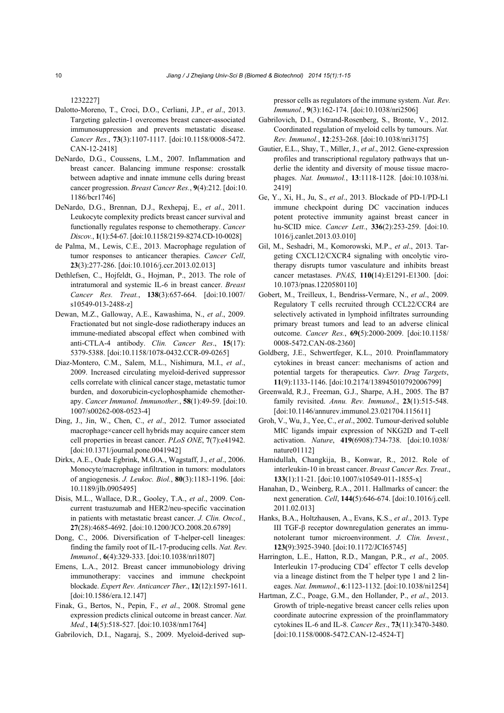1232227]

- Dalotto-Moreno, T., Croci, D.O., Cerliani, J.P., *et al*., 2013. Targeting galectin-1 overcomes breast cancer-associated immunosuppression and prevents metastatic disease. *Cancer Res.*, **73**(3):1107-1117. [doi:10.1158/0008-5472. CAN-12-2418]
- DeNardo, D.G., Coussens, L.M., 2007. Inflammation and breast cancer. Balancing immune response: crosstalk between adaptive and innate immune cells during breast cancer progression. *Breast Cancer Res.*, **9**(4):212. [doi:10. 1186/bcr1746]
- DeNardo, D.G., Brennan, D.J., Rexhepaj, E., *et al*., 2011. Leukocyte complexity predicts breast cancer survival and functionally regulates response to chemotherapy. *Cancer Discov.*, **1**(1):54-67. [doi:10.1158/2159-8274.CD-10-0028]
- de Palma, M., Lewis, C.E., 2013. Macrophage regulation of tumor responses to anticancer therapies. *Cancer Cell*, **23**(3):277-286. [doi:10.1016/j.ccr.2013.02.013]
- Dethlefsen, C., Hojfeldt, G., Hojman, P., 2013. The role of intratumoral and systemic IL-6 in breast cancer. *Breast Cancer Res. Treat.*, **138**(3):657-664. [doi:10.1007/ s10549-013-2488-z]
- Dewan, M.Z., Galloway, A.E., Kawashima, N., *et al*., 2009. Fractionated but not single-dose radiotherapy induces an immune-mediated abscopal effect when combined with anti-CTLA-4 antibody. *Clin. Cancer Res*., **15**(17): 5379-5388. [doi:10.1158/1078-0432.CCR-09-0265]
- Diaz-Montero, C.M., Salem, M.L., Nishimura, M.I., *et al*., 2009. Increased circulating myeloid-derived suppressor cells correlate with clinical cancer stage, metastatic tumor burden, and doxorubicin-cyclophosphamide chemotherapy. *Cancer Immunol. Immunother.*, **58**(1):49-59. [doi:10. 1007/s00262-008-0523-4]
- Ding, J., Jin, W., Chen, C., *et al*., 2012. Tumor associated macrophage×cancer cell hybrids may acquire cancer stem cell properties in breast cancer. *PLoS ONE*, **7**(7):e41942. [doi:10.1371/journal.pone.0041942]
- Dirkx, A.E., Oude Egbrink, M.G.A., Wagstaff, J., *et al*., 2006. Monocyte/macrophage infiltration in tumors: modulators of angiogenesis. *J. Leukoc. Biol.*, **80**(3):1183-1196. [doi: 10.1189/jlb.0905495]
- Disis, M.L., Wallace, D.R., Gooley, T.A., *et al*., 2009. Concurrent trastuzumab and HER2/neu-specific vaccination in patients with metastatic breast cancer. *J. Clin. Oncol.*, **27**(28):4685-4692. [doi:10.1200/JCO.2008.20.6789]
- Dong, C., 2006. Diversification of T-helper-cell lineages: finding the family root of IL-17-producing cells. *Nat. Rev. Immunol.*, **6**(4):329-333. [doi:10.1038/nri1807]
- Emens, L.A., 2012. Breast cancer immunobiology driving immunotherapy: vaccines and immune checkpoint blockade. *Expert Rev. Anticancer Ther.*, **12**(12):1597-1611. [doi:10.1586/era.12.147]
- Finak, G., Bertos, N., Pepin, F., *et al*., 2008. Stromal gene expression predicts clinical outcome in breast cancer. *Nat. Med.*, **14**(5):518-527. [doi:10.1038/nm1764]

Gabrilovich, D.I., Nagaraj, S., 2009. Myeloid-derived sup-

pressor cells as regulators of the immune system. *Nat. Rev. Immunol.*, **9**(3):162-174. [doi:10.1038/nri2506]

- Gabrilovich, D.I., Ostrand-Rosenberg, S., Bronte, V., 2012. Coordinated regulation of myeloid cells by tumours. *Nat. Rev. Immunol.*, **12**:253-268. [doi:10.1038/nri3175]
- Gautier, E.L., Shay, T., Miller, J., *et al*., 2012. Gene-expression profiles and transcriptional regulatory pathways that underlie the identity and diversity of mouse tissue macrophages. *Nat. Immunol.*, **13**:1118-1128. [doi:10.1038/ni. 2419]
- Ge, Y., Xi, H., Ju, S., *et al*., 2013. Blockade of PD-1/PD-L1 immune checkpoint during DC vaccination induces potent protective immunity against breast cancer in hu-SCID mice. *Cancer Lett.*, **336**(2):253-259. [doi:10. 1016/j.canlet.2013.03.010]
- Gil, M., Seshadri, M., Komorowski, M.P., *et al*., 2013. Targeting CXCL12/CXCR4 signaling with oncolytic virotherapy disrupts tumor vasculature and inhibits breast cancer metastases. *PNAS*, **110(**14):E1291-E1300. [doi: 10.1073/pnas.1220580110]
- Gobert, M., Treilleux, I., Bendriss-Vermare, N., *et al*., 2009. Regulatory T cells recruited through CCL22/CCR4 are selectively activated in lymphoid infiltrates surrounding primary breast tumors and lead to an adverse clinical outcome. *Cancer Res.*, **69(**5):2000-2009. [doi:10.1158/ 0008-5472.CAN-08-2360]
- Goldberg, J.E., Schwertfeger, K.L., 2010. Proinflammatory cytokines in breast cancer: mechanisms of action and potential targets for therapeutics. *Curr. Drug Targets*, **11**(9):1133-1146. [doi:10.2174/138945010792006799]
- Greenwald, R.J., Freeman, G.J., Sharpe, A.H., 2005. The B7 family revisited. *Annu. Rev. Immunol*., **23**(1):515-548. [doi:10.1146/annurev.immunol.23.021704.115611]
- Groh, V., Wu, J., Yee, C., *et al*., 2002. Tumour-derived soluble MIC ligands impair expression of NKG2D and T-cell activation. *Nature*, **419**(6908):734-738. [doi:10.1038/ nature01112]
- Hamidullah, Changkija, B., Konwar, R., 2012. Role of interleukin-10 in breast cancer. *Breast Cancer Res. Treat*., **133**(1):11-21. [doi:10.1007/s10549-011-1855-x]
- Hanahan, D., Weinberg, R.A., 2011. Hallmarks of cancer: the next generation. *Cell*, **144(**5):646-674. [doi:10.1016/j.cell. 2011.02.013]
- Hanks, B.A., Holtzhausen, A., Evans, K.S., *et al*., 2013. Type III TGF-β receptor downregulation generates an immunotolerant tumor microenvironment. *J. Clin. Invest.*, **123(**9):3925-3940. [doi:10.1172/JCI65745]
- Harrington, L.E., Hatton, R.D., Mangan, P.R., *et al*., 2005. Interleukin 17-producing  $CD4^+$  effector T cells develop via a lineage distinct from the T helper type 1 and 2 lineages. *Nat. Immunol*., **6**:1123-1132. [doi:10.1038/ni1254]
- Hartman, Z.C., Poage, G.M., den Hollander, P., *et al*., 2013. Growth of triple-negative breast cancer cells relies upon coordinate autocrine expression of the proinflammatory cytokines IL-6 and IL-8. *Cancer Res*., **73**(11):3470-3480. [doi:10.1158/0008-5472.CAN-12-4524-T]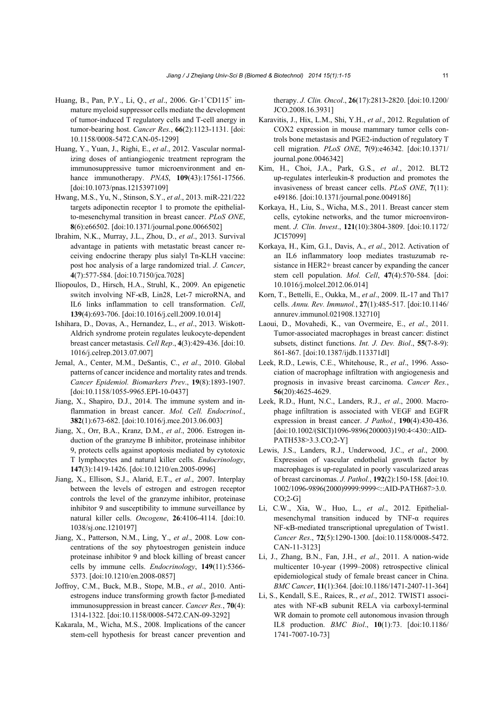- Huang, B., Pan, P.Y., Li, Q., et al., 2006. Gr-1<sup>+</sup>CD115<sup>+</sup> immature myeloid suppressor cells mediate the development of tumor-induced T regulatory cells and T-cell anergy in tumor-bearing host. *Cancer Res.*, **66**(2):1123-1131. [doi: 10.1158/0008-5472.CAN-05-1299]
- Huang, Y., Yuan, J., Righi, E., *et al*., 2012. Vascular normalizing doses of antiangiogenic treatment reprogram the immunosuppressive tumor microenvironment and enhance immunotherapy. *PNAS*, **109**(43):17561-17566. [doi:10.1073/pnas.1215397109]
- Hwang, M.S., Yu, N., Stinson, S.Y., *et al*., 2013. miR-221/222 targets adiponectin receptor 1 to promote the epithelialto-mesenchymal transition in breast cancer. *PLoS ONE*, **8**(6):e66502. [doi:10.1371/journal.pone.0066502]
- Ibrahim, N.K., Murray, J.L., Zhou, D., *et al*., 2013. Survival advantage in patients with metastatic breast cancer receiving endocrine therapy plus sialyl Tn-KLH vaccine: post hoc analysis of a large randomized trial. *J. Cancer*, **4**(7):577-584. [doi:10.7150/jca.7028]
- Iliopoulos, D., Hirsch, H.A., Struhl, K., 2009. An epigenetic switch involving NF-κB, Lin28, Let-7 microRNA, and IL6 links inflammation to cell transformation. *Cell*, **139**(4):693-706. [doi:10.1016/j.cell.2009.10.014]
- Ishihara, D., Dovas, A., Hernandez, L., *et al*., 2013. Wiskott-Aldrich syndrome protein regulates leukocyte-dependent breast cancer metastasis. *Cell Rep*., **4**(3):429-436. [doi:10. 1016/j.celrep.2013.07.007]
- Jemal, A., Center, M.M., DeSantis, C., *et al*., 2010. Global patterns of cancer incidence and mortality rates and trends. *Cancer Epidemiol. Biomarkers Prev*., **19**(8):1893-1907. [doi:10.1158/1055-9965.EPI-10-0437]
- Jiang, X., Shapiro, D.J., 2014. The immune system and inflammation in breast cancer. *Mol. Cell. Endocrinol.*, **382**(1):673-682. [doi:10.1016/j.mce.2013.06.003]
- Jiang, X., Orr, B.A., Kranz, D.M., *et al*., 2006. Estrogen induction of the granzyme B inhibitor, proteinase inhibitor 9, protects cells against apoptosis mediated by cytotoxic T lymphocytes and natural killer cells. *Endocrinology*, **147**(3):1419-1426. [doi:10.1210/en.2005-0996]
- Jiang, X., Ellison, S.J., Alarid, E.T., *et al*., 2007. Interplay between the levels of estrogen and estrogen receptor controls the level of the granzyme inhibitor, proteinase inhibitor 9 and susceptibility to immune surveillance by natural killer cells. *Oncogene*, **26**:4106-4114. [doi:10. 1038/sj.onc.1210197]
- Jiang, X., Patterson, N.M., Ling, Y., *et al*., 2008. Low concentrations of the soy phytoestrogen genistein induce proteinase inhibitor 9 and block killing of breast cancer cells by immune cells. *Endocrinology*, **149**(11):5366- 5373. [doi:10.1210/en.2008-0857]
- Joffroy, C.M., Buck, M.B., Stope, M.B., *et al*., 2010. Antiestrogens induce transforming growth factor β-mediated immunosuppression in breast cancer. *Cancer Res.*, **70**(4): 1314-1322. [doi:10.1158/0008-5472.CAN-09-3292]
- Kakarala, M., Wicha, M.S., 2008. Implications of the cancer stem-cell hypothesis for breast cancer prevention and

therapy. *J. Clin. Oncol*., **26**(17):2813-2820. [doi:10.1200/ JCO.2008.16.3931]

- Karavitis, J., Hix, L.M., Shi, Y.H., *et al*., 2012. Regulation of COX2 expression in mouse mammary tumor cells controls bone metastasis and PGE2-induction of regulatory T cell migration. *PLoS ONE*, **7**(9):e46342. [doi:10.1371/ journal.pone.0046342]
- Kim, H., Choi, J.A., Park, G.S., *et al.*, 2012. BLT2 up-regulates interleukin-8 production and promotes the invasiveness of breast cancer cells. *PLoS ONE*, **7**(11): e49186. [doi:10.1371/journal.pone.0049186]
- Korkaya, H., Liu, S., Wicha, M.S., 2011. Breast cancer stem cells, cytokine networks, and the tumor microenvironment. *J. Clin. Invest*., **121**(10):3804-3809. [doi:10.1172/ JCI57099]
- Korkaya, H., Kim, G.I., Davis, A., *et al*., 2012. Activation of an IL6 inflammatory loop mediates trastuzumab resistance in HER2+ breast cancer by expanding the cancer stem cell population. *Mol. Cell*, **47**(4):570-584. [doi: 10.1016/j.molcel.2012.06.014]
- Korn, T., Bettelli, E., Oukka, M., *et al*., 2009. IL-17 and Th17 cells. *Annu. Rev. Immunol.*, **27**(1):485-517. [doi:10.1146/ annurev.immunol.021908.132710]
- Laoui, D., Movahedi, K., van Overmeire, E., *et al*., 2011. Tumor-associated macrophages in breast cancer: distinct subsets, distinct functions. *Int. J. Dev. Biol*., **55**(7-8-9): 861-867. [doi:10.1387/ijdb.113371dl]
- Leek, R.D., Lewis, C.E., Whitehouse, R., *et al*., 1996. Association of macrophage infiltration with angiogenesis and prognosis in invasive breast carcinoma. *Cancer Res.*, **56**(20):4625-4629.
- Leek, R.D., Hunt, N.C., Landers, R.J., *et al*., 2000. Macrophage infiltration is associated with VEGF and EGFR expression in breast cancer. *J Pathol.*, **190**(4):430-436. [doi:10.1002/(SICI)1096-9896(200003)190:4<430::AID-PATH538>3.3.CO;2-Y]
- Lewis, J.S., Landers, R.J., Underwood, J.C., *et al*., 2000. Expression of vascular endothelial growth factor by macrophages is up-regulated in poorly vascularized areas of breast carcinomas. *J. Pathol.*, **192**(2):150-158. [doi:10. 1002/1096-9896(2000)9999:9999<::AID-PATH687>3.0. CO;2-G]
- Li, C.W., Xia, W., Huo, L., *et al*., 2012. Epithelialmesenchymal transition induced by TNF-α requires NF-κB-mediated transcriptional upregulation of Twist1. *Cancer Res*., **72**(5):1290-1300. [doi:10.1158/0008-5472. CAN-11-3123]
- Li, J., Zhang, B.N., Fan, J.H., *et al*., 2011. A nation-wide multicenter 10-year (1999–2008) retrospective clinical epidemiological study of female breast cancer in China. *BMC Cancer*, **11**(1):364. [doi:10.1186/1471-2407-11-364]
- Li, S., Kendall, S.E., Raices, R., *et al*., 2012. TWIST1 associates with NF-κB subunit RELA via carboxyl-terminal WR domain to promote cell autonomous invasion through IL8 production. *BMC Biol*., **10**(1):73. [doi:10.1186/ 1741-7007-10-73]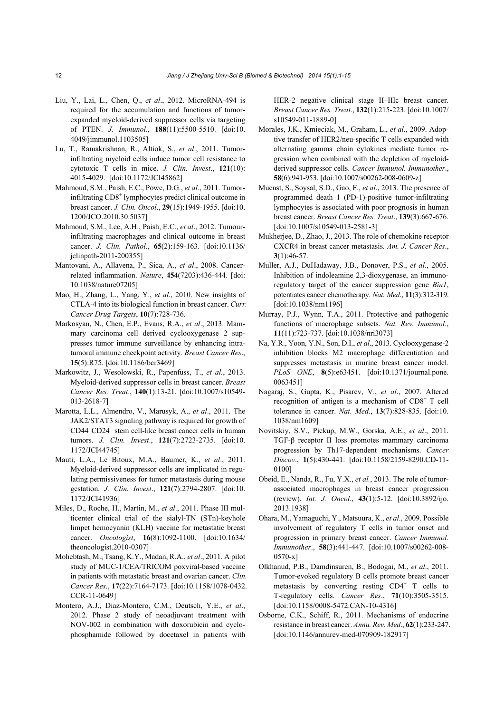- Liu, Y., Lai, L., Chen, Q., *et al*., 2012. MicroRNA-494 is required for the accumulation and functions of tumorexpanded myeloid-derived suppressor cells via targeting of PTEN. *J. Immunol.*, **188**(11):5500-5510. [doi:10. 4049/jimmunol.1103505]
- Lu, T., Ramakrishnan, R., Altiok, S., *et al*., 2011. Tumorinfiltrating myeloid cells induce tumor cell resistance to cytotoxic T cells in mice. *J. Clin. Invest*., **121**(10): 4015-4029. [doi:10.1172/JCI45862]
- Mahmoud, S.M., Paish, E.C., Powe, D.G., *et al*., 2011. Tumorinfiltrating CD8<sup>+</sup> lymphocytes predict clinical outcome in breast cancer. *J. Clin. Oncol*., **29**(15):1949-1955. [doi:10. 1200/JCO.2010.30.5037]
- Mahmoud, S.M., Lee, A.H., Paish, E.C., *et al*., 2012. Tumourinfiltrating macrophages and clinical outcome in breast cancer. *J. Clin. Pathol*., **65**(2):159-163. [doi:10.1136/ jclinpath-2011-200355]
- Mantovani, A., Allavena, P., Sica, A., *et al*., 2008. Cancerrelated inflammation. *Nature*, **454**(7203):436-444. [doi: 10.1038/nature07205]
- Mao, H., Zhang, L., Yang, Y., *et al*., 2010. New insights of CTLA-4 into its biological function in breast cancer. *Curr. Cancer Drug Targets*, **10**(7):728-736.
- Markosyan, N., Chen, E.P., Evans, R.A., *et al*., 2013. Mammary carcinoma cell derived cyclooxygenase 2 suppresses tumor immune surveillance by enhancing intratumoral immune checkpoint activity. *Breast Cancer Res*., **15**(5):R75. [doi:10.1186/bcr3469]
- Markowitz, J., Wesolowski, R., Papenfuss, T., *et al.*, 2013. Myeloid-derived suppressor cells in breast cancer. *Breast Cancer Res. Treat*., **140**(1):13-21. [doi:10.1007/s10549- 013-2618-7]
- Marotta, L.L., Almendro, V., Marusyk, A., *et al*., 2011. The JAK2/STAT3 signaling pathway is required for growth of CD44+ CD24<sup>−</sup> stem cell-like breast cancer cells in human tumors. *J. Clin. Invest*., **121**(7):2723-2735. [doi:10. 1172/JCI44745]
- Mauti, L.A., Le Bitoux, M.A., Baumer, K., *et al*., 2011. Myeloid-derived suppressor cells are implicated in regulating permissiveness for tumor metastasis during mouse gestation. *J. Clin. Invest*., **121**(7):2794-2807. [doi:10. 1172/JCI41936]
- Miles, D., Roche, H., Martin, M., *et al*., 2011. Phase III multicenter clinical trial of the sialyl-TN (STn)-keyhole limpet hemocyanin (KLH) vaccine for metastatic breast cancer. *Oncologist*, **16**(8):1092-1100. [doi:10.1634/ theoncologist.2010-0307]
- Mohebtash, M., Tsang, K.Y., Madan, R.A., *et al*., 2011. A pilot study of MUC-1/CEA/TRICOM poxviral-based vaccine in patients with metastatic breast and ovarian cancer. *Clin. Cancer Res*., **17**(22):7164-7173. [doi:10.1158/1078-0432. CCR-11-0649]
- Montero, A.J., Diaz-Montero, C.M., Deutsch, Y.E., *et al*., 2012. Phase 2 study of neoadjuvant treatment with NOV-002 in combination with doxorubicin and cyclophosphamide followed by docetaxel in patients with

HER-2 negative clinical stage II–IIIc breast cancer. *Breast Cancer Res. Treat*., **132**(1):215-223. [doi:10.1007/ s10549-011-1889-0]

- Morales, J.K., Kmieciak, M., Graham, L., *et al*., 2009. Adoptive transfer of HER2/neu-specific T cells expanded with alternating gamma chain cytokines mediate tumor regression when combined with the depletion of myeloidderived suppressor cells. *Cancer Immunol. Immunother*., **58**(6):941-953. [doi:10.1007/s00262-008-0609-z]
- Muenst, S., Soysal, S.D., Gao, F., *et al*., 2013. The presence of programmed death 1 (PD-1)-positive tumor-infiltrating lymphocytes is associated with poor prognosis in human breast cancer. *Breast Cancer Res. Treat*., **139**(3):667-676. [doi:10.1007/s10549-013-2581-3]
- Mukherjee, D., Zhao, J., 2013. The role of chemokine receptor CXCR4 in breast cancer metastasis. *Am. J. Cancer Res*., **3**(1):46-57.
- Muller, A.J., DuHadaway, J.B., Donover, P.S., *et al*., 2005. Inhibition of indoleamine 2,3-dioxygenase, an immunoregulatory target of the cancer suppression gene *Bin1*, potentiates cancer chemotherapy. *Nat. Med*., **11**(3):312-319. [doi:10.1038/nm1196]
- Murray, P.J., Wynn, T.A., 2011. Protective and pathogenic functions of macrophage subsets. *Nat. Rev. Immunol*., **11**(11):723-737. [doi:10.1038/nri3073]
- Na, Y.R., Yoon, Y.N., Son, D.I., *et al*., 2013. Cyclooxygenase-2 inhibition blocks M2 macrophage differentiation and suppresses metastasis in murine breast cancer model. *PLoS ONE*, **8**(5):e63451. [doi:10.1371/journal.pone. 0063451]
- Nagaraj, S., Gupta, K., Pisarev, V., *et al*., 2007. Altered recognition of antigen is a mechanism of  $CD8<sup>+</sup>$  T cell tolerance in cancer. *Nat. Med*., **13**(7):828-835. [doi:10. 1038/nm1609]
- Novitskiy, S.V., Pickup, M.W., Gorska, A.E., *et al*., 2011. TGF-β receptor II loss promotes mammary carcinoma progression by Th17-dependent mechanisms. *Cancer Discov*., **1**(5):430-441. [doi:10.1158/2159-8290.CD-11- 0100]
- Obeid, E., Nanda, R., Fu, Y.X., *et al.*, 2013. The role of tumorassociated macrophages in breast cancer progression (review). *Int. J. Oncol*., **43**(1):5-12. [doi:10.3892/ijo. 2013.1938]
- Ohara, M., Yamaguchi, Y., Matsuura, K., *et al*., 2009. Possible involvement of regulatory T cells in tumor onset and progression in primary breast cancer. *Cancer Immunol. Immunother*., **58**(3):441-447. [doi:10.1007/s00262-008- 0570-x]
- Olkhanud, P.B., Damdinsuren, B., Bodogai, M., *et al*., 2011. Tumor-evoked regulatory B cells promote breast cancer metastasis by converting resting  $CD4^+$  T cells to T-regulatory cells. *Cancer Res*., **71**(10):3505-3515. [doi:10.1158/0008-5472.CAN-10-4316]
- Osborne, C.K., Schiff, R., 2011. Mechanisms of endocrine resistance in breast cancer. *Annu. Rev. Med*., **62**(1):233-247. [doi:10.1146/annurev-med-070909-182917]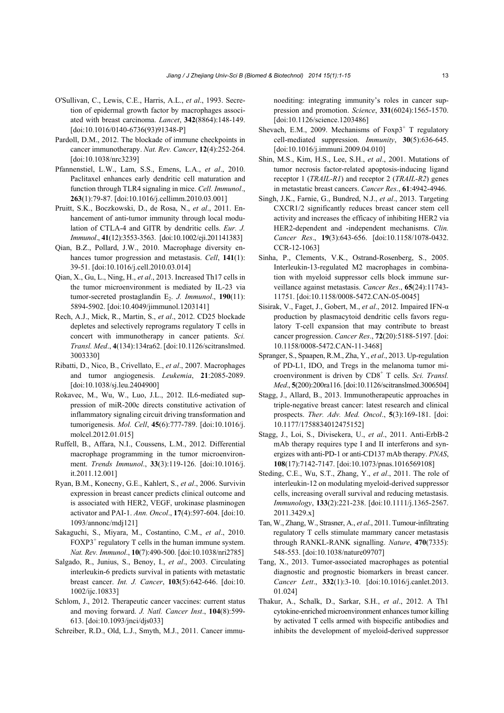- O'Sullivan, C., Lewis, C.E., Harris, A.L., *et al*., 1993. Secretion of epidermal growth factor by macrophages associated with breast carcinoma. *Lancet*, **342**(8864):148-149. [doi:10.1016/0140-6736(93)91348-P]
- Pardoll, D.M., 2012. The blockade of immune checkpoints in cancer immunotherapy. *Nat. Rev. Cancer*, **12**(4):252-264. [doi:10.1038/nrc3239]
- Pfannenstiel, L.W., Lam, S.S., Emens, L.A., *et al*., 2010. Paclitaxel enhances early dendritic cell maturation and function through TLR4 signaling in mice. *Cell. Immunol*., **263**(1):79-87. [doi:10.1016/j.cellimm.2010.03.001]
- Pruitt, S.K., Boczkowski, D., de Rosa, N., *et al*., 2011. Enhancement of anti-tumor immunity through local modulation of CTLA-4 and GITR by dendritic cells. *Eur. J. Immunol*., **41**(12):3553-3563. [doi:10.1002/eji.201141383]
- Qian, B.Z., Pollard, J.W., 2010. Macrophage diversity enhances tumor progression and metastasis. *Cell*, **141**(1): 39-51. [doi:10.1016/j.cell.2010.03.014]
- Qian, X., Gu, L., Ning, H., *et al*., 2013. Increased Th17 cells in the tumor microenvironment is mediated by IL-23 via tumor-secreted prostaglandin E<sub>2</sub>. *J. Immunol.*, **190**(11): 5894-5902. [doi:10.4049/jimmunol.1203141]
- Rech, A.J., Mick, R., Martin, S., *et al*., 2012. CD25 blockade depletes and selectively reprograms regulatory T cells in concert with immunotherapy in cancer patients. *Sci. Transl. Med*., **4**(134):134ra62. [doi:10.1126/scitranslmed. 3003330]
- Ribatti, D., Nico, B., Crivellato, E., *et al*., 2007. Macrophages and tumor angiogenesis. *Leukemia*, **21**:2085-2089. [doi:10.1038/sj.leu.2404900]
- Rokavec, M., Wu, W., Luo, J.L., 2012. IL6-mediated suppression of miR-200c directs constitutive activation of inflammatory signaling circuit driving transformation and tumorigenesis. *Mol. Cell*, **45**(6):777-789. [doi:10.1016/j. molcel.2012.01.015]
- Ruffell, B., Affara, N.I., Coussens, L.M., 2012. Differential macrophage programming in the tumor microenvironment. *Trends Immunol*., **33**(3):119-126. [doi:10.1016/j. it.2011.12.001]
- Ryan, B.M., Konecny, G.E., Kahlert, S., *et al*., 2006. Survivin expression in breast cancer predicts clinical outcome and is associated with HER2, VEGF, urokinase plasminogen activator and PAI-1. *Ann. Oncol*., **17**(4):597-604. [doi:10. 1093/annonc/mdj121]
- Sakaguchi, S., Miyara, M., Costantino, C.M., *et al*., 2010.  $FOXP3<sup>+</sup>$  regulatory T cells in the human immune system. *Nat. Rev. Immunol*., **10**(7):490-500. [doi:10.1038/nri2785]
- Salgado, R., Junius, S., Benoy, I., *et al*., 2003. Circulating interleukin-6 predicts survival in patients with metastatic breast cancer. *Int. J. Cancer*, **103**(5):642-646. [doi:10. 1002/ijc.10833]
- Schlom, J., 2012. Therapeutic cancer vaccines: current status and moving forward. *J. Natl. Cancer Inst*., **104**(8):599- 613. [doi:10.1093/jnci/djs033]
- Schreiber, R.D., Old, L.J., Smyth, M.J., 2011. Cancer immu-

noediting: integrating immunity's roles in cancer suppression and promotion. *Science*, **331**(6024):1565-1570. [doi:10.1126/science.1203486]

- Shevach, E.M., 2009. Mechanisms of  $Foxp3<sup>+</sup>$  T regulatory cell-mediated suppression. *Immunity*, **30**(5):636-645. [doi:10.1016/j.immuni.2009.04.010]
- Shin, M.S., Kim, H.S., Lee, S.H., *et al*., 2001. Mutations of tumor necrosis factor-related apoptosis-inducing ligand receptor 1 (*TRAIL-R1*) and receptor 2 (*TRAIL-R2*) genes in metastatic breast cancers. *Cancer Res*., **61**:4942-4946.
- Singh, J.K., Farnie, G., Bundred, N.J., *et al*., 2013. Targeting CXCR1/2 significantly reduces breast cancer stem cell activity and increases the efficacy of inhibiting HER2 via HER2-dependent and -independent mechanisms. *Clin. Cancer Res*., **19**(3):643-656. [doi:10.1158/1078-0432. CCR-12-1063]
- Sinha, P., Clements, V.K., Ostrand-Rosenberg, S., 2005. Interleukin-13-regulated M2 macrophages in combination with myeloid suppressor cells block immune surveillance against metastasis. *Cancer Res*., **65**(24):11743- 11751. [doi:10.1158/0008-5472.CAN-05-0045]
- Sisirak, V., Faget, J., Gobert, M., *et al*., 2012. Impaired IFN-α production by plasmacytoid dendritic cells favors regulatory T-cell expansion that may contribute to breast cancer progression. *Cancer Res*., **72**(20):5188-5197. [doi: 10.1158/0008-5472.CAN-11-3468]
- Spranger, S., Spaapen, R.M., Zha, Y., *et al*., 2013. Up-regulation of PD-L1, IDO, and Tregs in the melanoma tumor microenvironment is driven by CD8<sup>+</sup> T cells. *Sci. Transl. Med*., **5**(200):200ra116. [doi:10.1126/scitranslmed.3006504]
- Stagg, J., Allard, B., 2013. Immunotherapeutic approaches in triple-negative breast cancer: latest research and clinical prospects. *Ther. Adv. Med. Oncol*., **5**(3):169-181. [doi: 10.1177/1758834012475152]
- Stagg, J., Loi, S., Divisekera, U., *et al*., 2011. Anti-ErbB-2 mAb therapy requires type I and II interferons and synergizes with anti-PD-1 or anti-CD137 mAb therapy. *PNAS*, **108**(17):7142-7147. [doi:10.1073/pnas.1016569108]
- Steding, C.E., Wu, S.T., Zhang, Y., *et al*., 2011. The role of interleukin-12 on modulating myeloid-derived suppressor cells, increasing overall survival and reducing metastasis. *Immunology*, **133**(2):221-238. [doi:10.1111/j.1365-2567. 2011.3429.x]
- Tan, W., Zhang, W., Strasner, A., *et al*., 2011. Tumour-infiltrating regulatory T cells stimulate mammary cancer metastasis through RANKL-RANK signalling. *Nature*, **470**(7335): 548-553. [doi:10.1038/nature09707]
- Tang, X., 2013. Tumor-associated macrophages as potential diagnostic and prognostic biomarkers in breast cancer. *Cancer Lett*., **332**(1):3-10. [doi:10.1016/j.canlet.2013. 01.024]
- Thakur, A., Schalk, D., Sarkar, S.H., *et al*., 2012. A Th1 cytokine-enriched microenvironment enhances tumor killing by activated T cells armed with bispecific antibodies and inhibits the development of myeloid-derived suppressor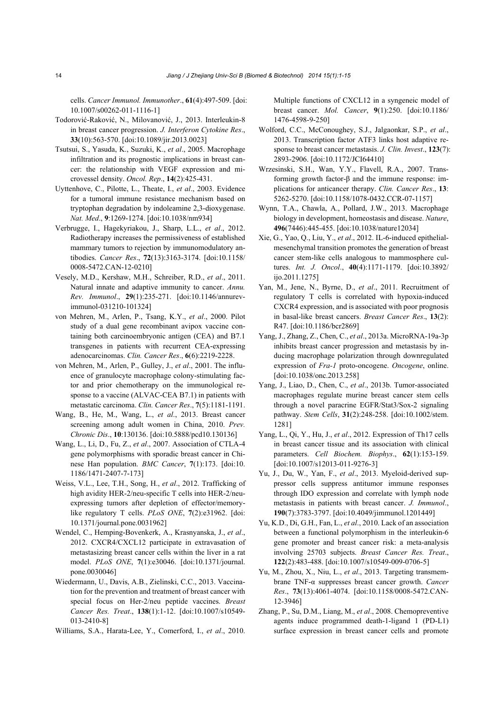cells. *Cancer Immunol. Immunother*., **61**(4):497-509. [doi: 10.1007/s00262-011-1116-1]

- Todorović-Raković, N., Milovanović, J., 2013. Interleukin-8 in breast cancer progression. *J. Interferon Cytokine Res*., **33**(10):563-570. [doi:10.1089/jir.2013.0023]
- Tsutsui, S., Yasuda, K., Suzuki, K., *et al*., 2005. Macrophage infiltration and its prognostic implications in breast cancer: the relationship with VEGF expression and microvessel density. *Oncol. Rep*., **14**(2):425-431.
- Uyttenhove, C., Pilotte, L., Theate, I., *et al*., 2003. Evidence for a tumoral immune resistance mechanism based on tryptophan degradation by indoleamine 2,3-dioxygenase. *Nat. Med*., **9**:1269-1274. [doi:10.1038/nm934]
- Verbrugge, I., Hagekyriakou, J., Sharp, L.L., *et al*., 2012. Radiotherapy increases the permissiveness of established mammary tumors to rejection by immunomodulatory antibodies. *Cancer Res*., **72**(13):3163-3174. [doi:10.1158/ 0008-5472.CAN-12-0210]
- Vesely, M.D., Kershaw, M.H., Schreiber, R.D., *et al*., 2011. Natural innate and adaptive immunity to cancer. *Annu. Rev. Immunol*., **29**(1):235-271. [doi:10.1146/annurevimmunol-031210-101324]
- von Mehren, M., Arlen, P., Tsang, K.Y., *et al*., 2000. Pilot study of a dual gene recombinant avipox vaccine containing both carcinoembryonic antigen (CEA) and B7.1 transgenes in patients with recurrent CEA-expressing adenocarcinomas. *Clin. Cancer Res*., **6**(6):2219-2228.
- von Mehren, M., Arlen, P., Gulley, J., *et al*., 2001. The influence of granulocyte macrophage colony-stimulating factor and prior chemotherapy on the immunological response to a vaccine (ALVAC-CEA B7.1) in patients with metastatic carcinoma. *Clin. Cancer Res*., **7**(5):1181-1191.
- Wang, B., He, M., Wang, L., *et al*., 2013. Breast cancer screening among adult women in China, 2010. *Prev. Chronic Dis*., **10**:130136. [doi:10.5888/pcd10.130136]
- Wang, L., Li, D., Fu, Z., *et al*., 2007. Association of CTLA-4 gene polymorphisms with sporadic breast cancer in Chinese Han population. *BMC Cancer*, **7**(1):173. [doi:10. 1186/1471-2407-7-173]
- Weiss, V.L., Lee, T.H., Song, H., *et al*., 2012. Trafficking of high avidity HER-2/neu-specific T cells into HER-2/neuexpressing tumors after depletion of effector/memorylike regulatory T cells. *PLoS ONE*, **7**(2):e31962. [doi: 10.1371/journal.pone.0031962]
- Wendel, C., Hemping-Bovenkerk, A., Krasnyanska, J., *et al*., 2012. CXCR4/CXCL12 participate in extravasation of metastasizing breast cancer cells within the liver in a rat model. *PLoS ONE*, **7**(1):e30046. [doi:10.1371/journal. pone.0030046]
- Wiedermann, U., Davis, A.B., Zielinski, C.C., 2013. Vaccination for the prevention and treatment of breast cancer with special focus on Her-2/neu peptide vaccines. *Breast Cancer Res. Treat*., **138**(1):1-12. [doi:10.1007/s10549- 013-2410-8]
- Williams, S.A., Harata-Lee, Y., Comerford, I., *et al*., 2010.

Multiple functions of CXCL12 in a syngeneic model of breast cancer. *Mol. Cancer*, **9**(1):250. [doi:10.1186/ 1476-4598-9-250]

- Wolford, C.C., McConoughey, S.J., Jalgaonkar, S.P., *et al*., 2013. Transcription factor ATF3 links host adaptive response to breast cancer metastasis. *J. Clin. Invest*., **123**(7): 2893-2906. [doi:10.1172/JCI64410]
- Wrzesinski, S.H., Wan, Y.Y., Flavell, R.A., 2007. Transforming growth factor-β and the immune response: implications for anticancer therapy. *Clin. Cancer Res*., **13**: 5262-5270. [doi:10.1158/1078-0432.CCR-07-1157]
- Wynn, T.A., Chawla, A., Pollard, J.W., 2013. Macrophage biology in development, homeostasis and disease. *Nature*, **496**(7446):445-455. [doi:10.1038/nature12034]
- Xie, G., Yao, Q., Liu, Y., *et al*., 2012. IL-6-induced epithelialmesenchymal transition promotes the generation of breast cancer stem-like cells analogous to mammosphere cultures. *Int. J. Oncol*., **40**(4):1171-1179. [doi:10.3892/ ijo.2011.1275]
- Yan, M., Jene, N., Byrne, D., *et al*., 2011. Recruitment of regulatory T cells is correlated with hypoxia-induced CXCR4 expression, and is associated with poor prognosis in basal-like breast cancers. *Breast Cancer Res*., **13**(2): R47. [doi:10.1186/bcr2869]
- Yang, J., Zhang, Z., Chen, C., *et al*., 2013a. MicroRNA-19a-3p inhibits breast cancer progression and metastasis by inducing macrophage polarization through downregulated expression of *Fra-1* proto-oncogene. *Oncogene*, online. [doi:10.1038/onc.2013.258]
- Yang, J., Liao, D., Chen, C., *et al*., 2013b. Tumor-associated macrophages regulate murine breast cancer stem cells through a novel paracrine EGFR/Stat3/Sox-2 signaling pathway. *Stem Cells*, **31**(2):248-258. [doi:10.1002/stem. 1281]
- Yang, L., Qi, Y., Hu, J., *et al*., 2012. Expression of Th17 cells in breast cancer tissue and its association with clinical parameters. *Cell Biochem. Biophys*., **62**(1):153-159. [doi:10.1007/s12013-011-9276-3]
- Yu, J., Du, W., Yan, F., *et al*., 2013. Myeloid-derived suppressor cells suppress antitumor immune responses through IDO expression and correlate with lymph node metastasis in patients with breast cancer. *J. Immunol*., **190**(7):3783-3797. [doi:10.4049/jimmunol.1201449]
- Yu, K.D., Di, G.H., Fan, L., *et al*., 2010. Lack of an association between a functional polymorphism in the interleukin-6 gene promoter and breast cancer risk: a meta-analysis involving 25703 subjects. *Breast Cancer Res. Treat*., **122**(2):483-488. [doi:10.1007/s10549-009-0706-5]
- Yu, M., Zhou, X., Niu, L., *et al*., 2013. Targeting transmembrane TNF-α suppresses breast cancer growth. *Cancer Res*., **73**(13):4061-4074. [doi:10.1158/0008-5472.CAN-12-3946]
- Zhang, P., Su, D.M., Liang, M., *et al*., 2008. Chemopreventive agents induce programmed death-1-ligand 1 (PD-L1) surface expression in breast cancer cells and promote